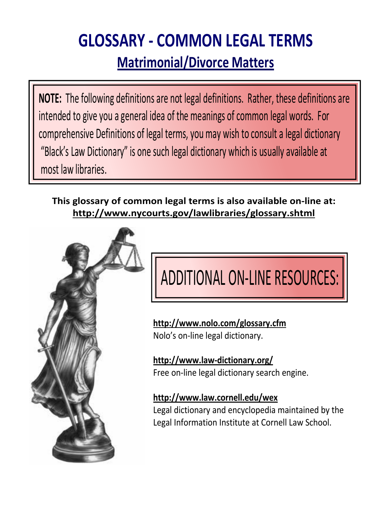# **GLOSSARY ‐ COMMON LEGAL TERMS Matrimonial/Divorce Matters**

**NOTE:** The following definitions are not legal definitions. Rather, these definitions are intended to give you a general idea of the meanings of common legal words. For comprehensive Definitions of legal terms, you may wish to consult a legal dictionary "Black's Law Dictionary" is one such legal dictionary which is usually available at most law libraries.

**This glossary of common legal terms is also available on‐line at: http://www.nycourts.gov/lawlibraries/glossary.shtml**



# ADDITIONAL ON-LINE RESOURCES:

**http://www.nolo.com/glossary.cfm** Nolo's on‐line legal dictionary.

**http://www.law‐dictionary.org/** Free on-line legal dictionary search engine.

**http://www.law.cornell.edu/wex**

Legal dictionary and encyclopedia maintained by the Legal Information Institute at Cornell Law School.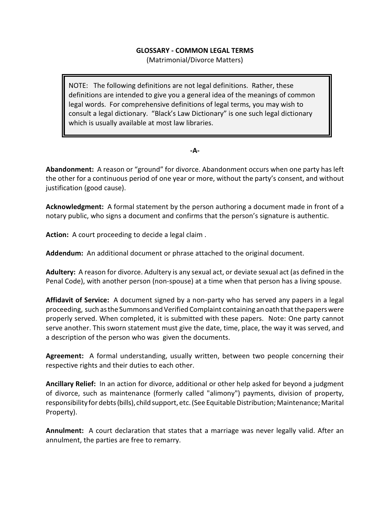# **GLOSSARY - COMMON LEGAL TERMS**

(Matrimonial/Divorce Matters)

NOTE: The following definitions are not legal definitions. Rather, these definitions are intended to give you a general idea of the meanings of common legal words. For comprehensive definitions of legal terms, you may wish to consult a legal dictionary. "Black's Law Dictionary" is one such legal dictionary which is usually available at most law libraries.

# **-A-**

**Abandonment:** A reason or "ground" for divorce. Abandonment occurs when one party has left the other for a continuous period of one year or more, without the party's consent, and without justification (good cause).

**Acknowledgment:** A formal statement by the person authoring a document made in front of a notary public, who signs a document and confirms that the person's signature is authentic.

**Action:** A court proceeding to decide a legal claim .

**Addendum:** An additional document or phrase attached to the original document.

**Adultery:** A reason for divorce. Adultery is any sexual act, or deviate sexual act (as defined in the Penal Code), with another person (non-spouse) at a time when that person has a living spouse.

**Affidavit of Service:** A document signed by a non-party who has served any papers in a legal proceeding, such as the Summons and Verified Complaint containing an oath that the papers were properly served. When completed, it is submitted with these papers. Note: One party cannot serve another. This sworn statement must give the date, time, place, the way it was served, and a description of the person who was given the documents.

**Agreement:** A formal understanding, usually written, between two people concerning their respective rights and their duties to each other.

**Ancillary Relief:** In an action for divorce, additional or other help asked for beyond a judgment of divorce, such as maintenance (formerly called "alimony") payments, division of property, responsibility for debts (bills), child support, etc. (See Equitable Distribution; Maintenance; Marital Property).

**Annulment:** A court declaration that states that a marriage was never legally valid. After an annulment, the parties are free to remarry.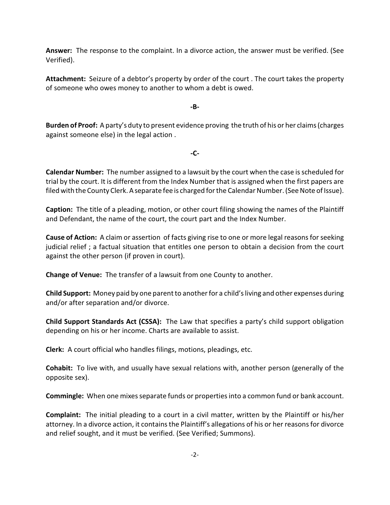**Answer:** The response to the complaint. In a divorce action, the answer must be verified. (See Verified).

**Attachment:** Seizure of a debtor's property by order of the court . The court takes the property of someone who owes money to another to whom a debt is owed.

**-B-**

**Burden of Proof:** A party's duty to present evidence proving the truth of his or her claims (charges against someone else) in the legal action .

**-C-**

**Calendar Number:** The number assigned to a lawsuit by the court when the case isscheduled for trial by the court. It is different from the Index Number that is assigned when the first papers are filed with the County Clerk. A separate fee is charged for the Calendar Number. (See Note of Issue).

**Caption:** The title of a pleading, motion, or other court filing showing the names of the Plaintiff and Defendant, the name of the court, the court part and the Index Number.

**Cause of Action:** A claim or assertion of facts giving rise to one or more legal reasons for seeking judicial relief ; a factual situation that entitles one person to obtain a decision from the court against the other person (if proven in court).

**Change of Venue:** The transfer of a lawsuit from one County to another.

**Child Support:** Money paid by one parent to another for a child's living and other expenses during and/or after separation and/or divorce.

**Child Support Standards Act (CSSA):** The Law that specifies a party's child support obligation depending on his or her income. Charts are available to assist.

**Clerk:** A court official who handles filings, motions, pleadings, etc.

**Cohabit:** To live with, and usually have sexual relations with, another person (generally of the opposite sex).

**Commingle:** When one mixes separate funds or properties into a common fund or bank account.

**Complaint:** The initial pleading to a court in a civil matter, written by the Plaintiff or his/her attorney. In a divorce action, it contains the Plaintiff's allegations of his or her reasons for divorce and relief sought, and it must be verified. (See Verified; Summons).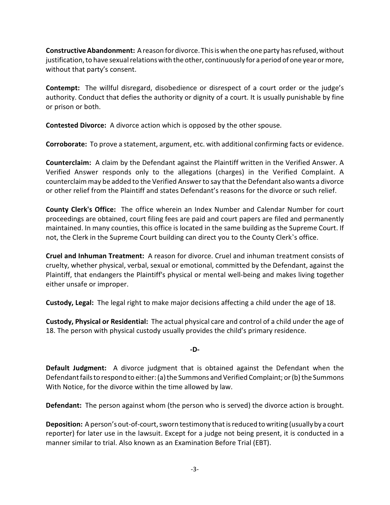**Constructive Abandonment:** A reason fordivorce. This is when the one party has refused, without justification, to have sexual relations with the other, continuously for a period of one year or more, without that party's consent.

**Contempt:** The willful disregard, disobedience or disrespect of a court order or the judge's authority. Conduct that defies the authority or dignity of a court. It is usually punishable by fine or prison or both.

**Contested Divorce:** A divorce action which is opposed by the other spouse.

**Corroborate:** To prove a statement, argument, etc. with additional confirming facts or evidence.

**Counterclaim:** A claim by the Defendant against the Plaintiff written in the Verified Answer. A Verified Answer responds only to the allegations (charges) in the Verified Complaint. A counterclaim may be added to the Verified Answer to say that the Defendant also wants a divorce or other relief from the Plaintiff and states Defendant's reasons for the divorce or such relief.

**County Clerk's Office:** The office wherein an Index Number and Calendar Number for court proceedings are obtained, court filing fees are paid and court papers are filed and permanently maintained. In many counties, this office is located in the same building as the Supreme Court. If not, the Clerk in the Supreme Court building can direct you to the County Clerk's office.

**Cruel and Inhuman Treatment:** A reason for divorce. Cruel and inhuman treatment consists of cruelty, whether physical, verbal, sexual or emotional, committed by the Defendant, against the Plaintiff, that endangers the Plaintiff's physical or mental well-being and makes living together either unsafe or improper.

**Custody, Legal:** The legal right to make major decisions affecting a child under the age of 18.

**Custody, Physical or Residential:** The actual physical care and control of a child under the age of 18. The person with physical custody usually provides the child's primary residence.

# **-D-**

**Default Judgment:** A divorce judgment that is obtained against the Defendant when the Defendant failsto respond to either: (a) the Summons and Verified Complaint; or (b) the Summons With Notice, for the divorce within the time allowed by law.

**Defendant:** The person against whom (the person who is served) the divorce action is brought.

**Deposition:** A person's out-of-court, sworn testimony that is reduced to writing (usuallyby a court reporter) for later use in the lawsuit. Except for a judge not being present, it is conducted in a manner similar to trial. Also known as an Examination Before Trial (EBT).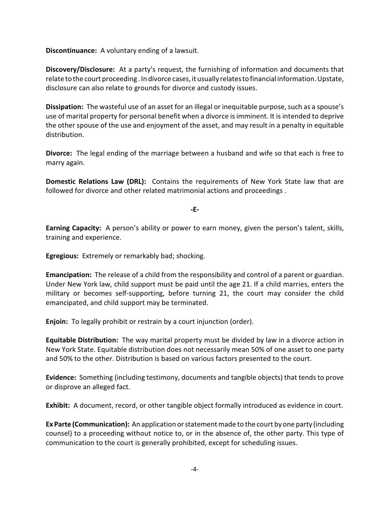**Discontinuance:** A voluntary ending of a lawsuit.

**Discovery/Disclosure:** At a party's request, the furnishing of information and documents that relate to the court proceeding . In divorce cases, it usually relates to financial information. Upstate, disclosure can also relate to grounds for divorce and custody issues.

**Dissipation:** The wasteful use of an asset for an illegal or inequitable purpose, such as a spouse's use of marital property for personal benefit when a divorce is imminent. It is intended to deprive the other spouse of the use and enjoyment of the asset, and may result in a penalty in equitable distribution.

**Divorce:** The legal ending of the marriage between a husband and wife so that each is free to marry again.

**Domestic Relations Law (DRL):** Contains the requirements of New York State law that are followed for divorce and other related matrimonial actions and proceedings .

**-E-**

**Earning Capacity:** A person's ability or power to earn money, given the person's talent, skills, training and experience.

**Egregious:** Extremely or remarkably bad; shocking.

**Emancipation:** The release of a child from the responsibility and control of a parent or guardian. Under New York law, child support must be paid until the age 21. If a child marries, enters the military or becomes self-supporting, before turning 21, the court may consider the child emancipated, and child support may be terminated.

**Enjoin:** To legally prohibit or restrain by a court injunction (order).

**Equitable Distribution:** The way marital property must be divided by law in a divorce action in New York State. Equitable distribution does not necessarily mean 50% of one asset to one party and 50% to the other. Distribution is based on various factors presented to the court.

**Evidence:** Something (including testimony, documents and tangible objects) that tends to prove or disprove an alleged fact.

**Exhibit:** A document, record, or other tangible object formally introduced as evidence in court.

**Ex Parte (Communication):** An application or statement made to the court by one party (including counsel) to a proceeding without notice to, or in the absence of, the other party. This type of communication to the court is generally prohibited, except for scheduling issues.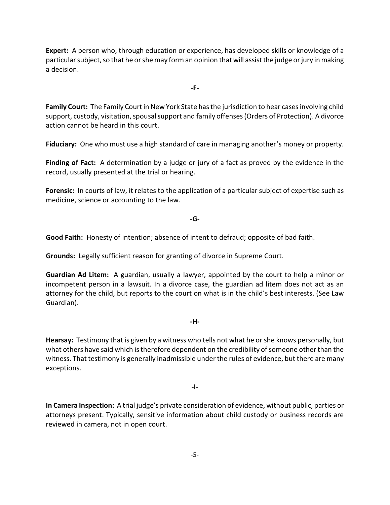**Expert:** A person who, through education or experience, has developed skills or knowledge of a particular subject, so that he or shemay forman opinion that will assist the judge or jury in making a decision.

**-F-**

**Family Court:** The Family Court in New York State has the jurisdiction to hear cases involving child support, custody, visitation, spousal support and family offenses (Orders of Protection). A divorce action cannot be heard in this court.

**Fiduciary:** One who must use a high standard of care in managing another's money or property.

**Finding of Fact:** A determination by a judge or jury of a fact as proved by the evidence in the record, usually presented at the trial or hearing.

**Forensic:** In courts of law, it relates to the application of a particular subject of expertise such as medicine, science or accounting to the law.

**-G-**

**Good Faith:** Honesty of intention; absence of intent to defraud; opposite of bad faith.

**Grounds:** Legally sufficient reason for granting of divorce in Supreme Court.

**Guardian Ad Litem:** A guardian, usually a lawyer, appointed by the court to help a minor or incompetent person in a lawsuit. In a divorce case, the guardian ad litem does not act as an attorney for the child, but reports to the court on what is in the child's best interests. (See Law Guardian).

# **-H-**

**Hearsay:** Testimony that is given by a witness who tells not what he or she knows personally, but what others have said which is therefore dependent on the credibility of someone other than the witness. That testimony is generally inadmissible under the rules of evidence, but there are many exceptions.

**-I-**

**In Camera Inspection:** A trial judge's private consideration of evidence, without public, parties or attorneys present. Typically, sensitive information about child custody or business records are reviewed in camera, not in open court.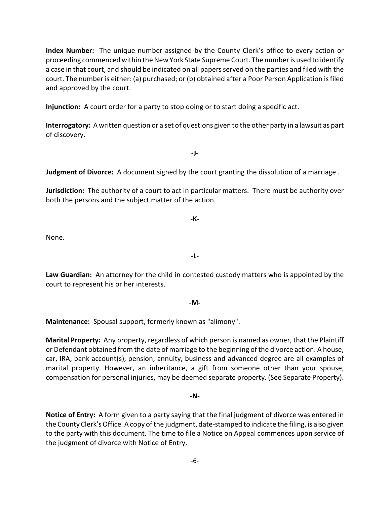**Index Number:** The unique number assigned by the County Clerk's office to every action or proceeding commenced within the New York State Supreme Court. The number is used to identify a case in that court, and should be indicated on all papers served on the parties and filed with the court. The number is either: (a) purchased; or (b) obtained after a Poor Person Application is filed and approved by the court.

**Injunction:** A court order for a party to stop doing or to start doing a specific act.

**Interrogatory:** A written question or a set of questions given to the other party in a lawsuit as part of discovery.

**-J-**

**Judgment of Divorce:** A document signed by the court granting the dissolution of a marriage .

**Jurisdiction:** The authority of a court to act in particular matters. There must be authority over both the persons and the subject matter of the action.

**-K-**

**-L-**

None.

**Law Guardian:** An attorney for the child in contested custody matters who is appointed by the court to represent his or her interests.

**-M-**

**Maintenance:** Spousal support, formerly known as "alimony".

**Marital Property:** Any property, regardless of which person is named as owner, that the Plaintiff or Defendant obtained from the date of marriage to the beginning of the divorce action. A house, car, IRA, bank account(s), pension, annuity, business and advanced degree are all examples of marital property. However, an inheritance, a gift from someone other than your spouse, compensation for personal injuries, may be deemed separate property. (See Separate Property).

#### **-N-**

**Notice of Entry:** A form given to a party saying that the final judgment of divorce was entered in the County Clerk's Office. A copy of the judgment, date-stamped to indicate the filing, is also given to the party with this document. The time to file a Notice on Appeal commences upon service of the judgment of divorce with Notice of Entry.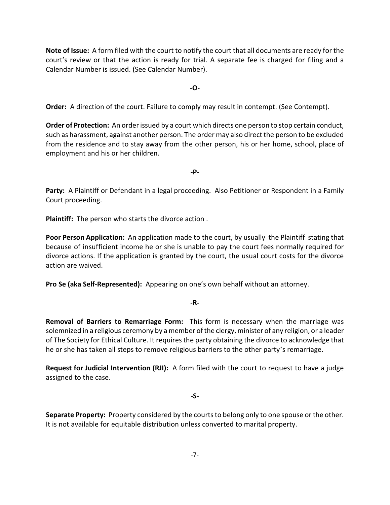**Note of Issue:** A form filed with the court to notify the court that all documents are ready for the court's review or that the action is ready for trial. A separate fee is charged for filing and a Calendar Number is issued. (See Calendar Number).

**-O-**

**Order:** A direction of the court. Failure to comply may result in contempt. (See Contempt).

**Order of Protection:** An order issued by a court which directs one person to stop certain conduct, such as harassment, against another person. The order may also direct the person to be excluded from the residence and to stay away from the other person, his or her home, school, place of employment and his or her children.

**-P-**

Party: A Plaintiff or Defendant in a legal proceeding. Also Petitioner or Respondent in a Family Court proceeding.

**Plaintiff:** The person who starts the divorce action .

**Poor Person Application:** An application made to the court, by usually the Plaintiff stating that because of insufficient income he or she is unable to pay the court fees normally required for divorce actions. If the application is granted by the court, the usual court costs for the divorce action are waived.

**Pro Se (aka Self-Represented):** Appearing on one's own behalf without an attorney.

**-R-**

**Removal of Barriers to Remarriage Form:** This form is necessary when the marriage was solemnized in a religious ceremony by a member of the clergy, minister of any religion, or a leader of The Society for Ethical Culture. It requires the party obtaining the divorce to acknowledge that he or she has taken all steps to remove religious barriers to the other party's remarriage.

**Request for Judicial Intervention (RJI):** A form filed with the court to request to have a judge assigned to the case.

# **-S-**

**Separate Property:** Property considered by the courts to belong only to one spouse or the other. It is not available for equitable distribution unless converted to marital property.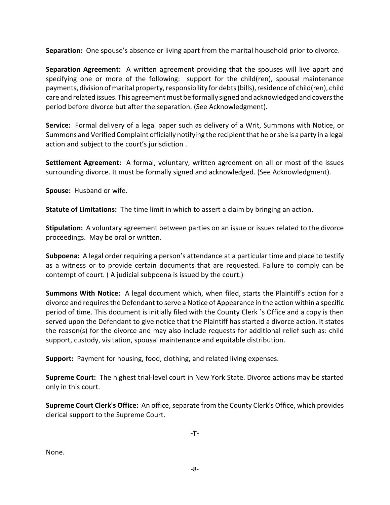**Separation:** One spouse's absence or living apart from the marital household prior to divorce.

**Separation Agreement:** A written agreement providing that the spouses will live apart and specifying one or more of the following: support for the child(ren), spousal maintenance payments, division of marital property, responsibility for debts (bills), residence of child(ren), child care and related issues.This agreement must be formally signed and acknowledged and covers the period before divorce but after the separation. (See Acknowledgment).

**Service:** Formal delivery of a legal paper such as delivery of a Writ, Summons with Notice, or Summons and Verified Complaint officially notifying the recipient that he or she is a party in a legal action and subject to the court's jurisdiction .

**Settlement Agreement:** A formal, voluntary, written agreement on all or most of the issues surrounding divorce. It must be formally signed and acknowledged. (See Acknowledgment).

**Spouse:** Husband or wife.

**Statute of Limitations:** The time limit in which to assert a claim by bringing an action.

**Stipulation:** A voluntary agreement between parties on an issue or issues related to the divorce proceedings. May be oral or written.

**Subpoena:** A legal order requiring a person's attendance at a particular time and place to testify as a witness or to provide certain documents that are requested. Failure to comply can be contempt of court. ( A judicial subpoena is issued by the court.)

**Summons With Notice:** A legal document which, when filed, starts the Plaintiff's action for a divorce and requires the Defendant to serve a Notice of Appearance in the action within a specific period of time. This document is initially filed with the County Clerk 's Office and a copy is then served upon the Defendant to give notice that the Plaintiff has started a divorce action. It states the reason(s) for the divorce and may also include requests for additional relief such as: child support, custody, visitation, spousal maintenance and equitable distribution.

**Support:** Payment for housing, food, clothing, and related living expenses.

**Supreme Court:** The highest trial-level court in New York State. Divorce actions may be started only in this court.

**Supreme Court Clerk's Office:** An office, separate from the County Clerk's Office, which provides clerical support to the Supreme Court.

**-T-**

None.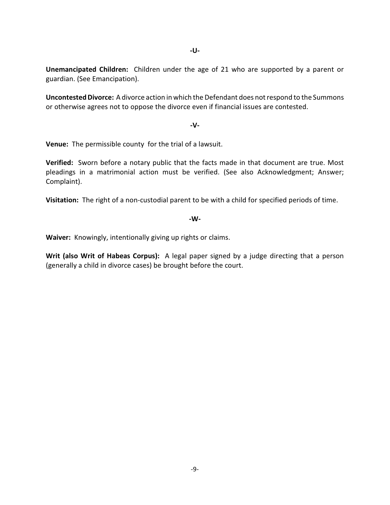**-U-**

**Unemancipated Children:** Children under the age of 21 who are supported by a parent or guardian. (See Emancipation).

**Uncontested Divorce:** A divorce action in which the Defendant does not respond to the Summons or otherwise agrees not to oppose the divorce even if financial issues are contested.

# **-V-**

**Venue:** The permissible county for the trial of a lawsuit.

**Verified:** Sworn before a notary public that the facts made in that document are true. Most pleadings in a matrimonial action must be verified. (See also Acknowledgment; Answer; Complaint).

**Visitation:** The right of a non-custodial parent to be with a child for specified periods of time.

# **-W-**

**Waiver:** Knowingly, intentionally giving up rights or claims.

**Writ (also Writ of Habeas Corpus):** A legal paper signed by a judge directing that a person (generally a child in divorce cases) be brought before the court.